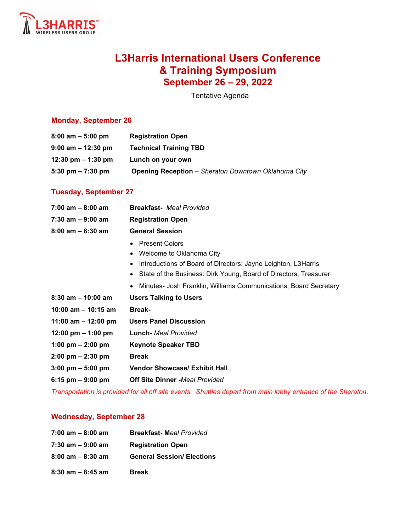

# **L3Harris International Users Conference & Training Symposium September 26 – 29, 2022**

Tentative Agenda

### **Monday, September 26**

| $8:00$ am $-5:00$ pm  | <b>Registration Open</b>                                   |
|-----------------------|------------------------------------------------------------|
| $9:00$ am $-12:30$ pm | <b>Technical Training TBD</b>                              |
| 12:30 pm $-$ 1:30 pm  | Lunch on your own                                          |
| 5:30 pm $- 7:30$ pm   | <b>Opening Reception</b> - Sheraton Downtown Oklahoma City |

#### **Tuesday, September 27**

| <b>Breakfast-</b> Meal Provided                                                                                                                                                        |
|----------------------------------------------------------------------------------------------------------------------------------------------------------------------------------------|
| <b>Registration Open</b>                                                                                                                                                               |
| <b>General Session</b>                                                                                                                                                                 |
| <b>Present Colors</b><br>Welcome to Oklahoma City<br>Introductions of Board of Directors: Jayne Leighton, L3Harris<br>State of the Business: Dirk Young, Board of Directors, Treasurer |
| Minutes- Josh Franklin, Williams Communications, Board Secretary                                                                                                                       |
| <b>Users Talking to Users</b>                                                                                                                                                          |
| <b>Break-</b>                                                                                                                                                                          |
| <b>Users Panel Discussion</b>                                                                                                                                                          |
| <b>Lunch-</b> Meal Provided                                                                                                                                                            |
| <b>Keynote Speaker TBD</b>                                                                                                                                                             |
| <b>Break</b>                                                                                                                                                                           |
| <b>Vendor Showcase/ Exhibit Hall</b>                                                                                                                                                   |
| <b>Off Site Dinner -Meal Provided</b>                                                                                                                                                  |
|                                                                                                                                                                                        |

*Transportation is provided for all off site events. Shuttles depart from main lobby entrance of the Sheraton.*

#### **Wednesday, September 28**

| $7:00$ am $-8:00$ am | <b>Breakfast-Meal Provided</b>    |
|----------------------|-----------------------------------|
| 7:30 am - 9:00 am    | <b>Registration Open</b>          |
| $8:00$ am $-8:30$ am | <b>General Session/ Elections</b> |
| $8:30$ am $-8:45$ am | <b>Break</b>                      |